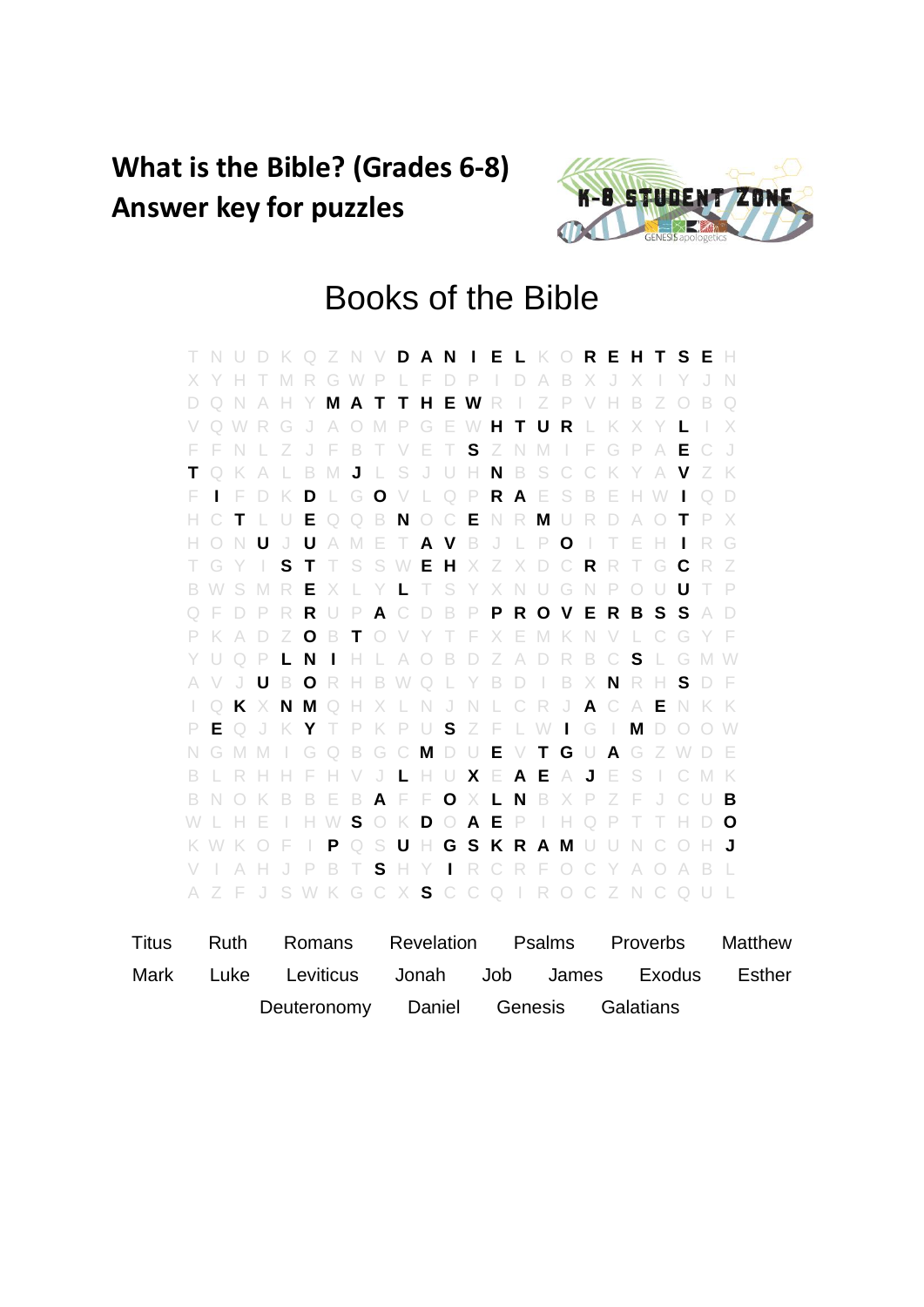## **What is the Bible? (Grades 6-8) Answer key for puzzles**



## Books of the Bible

T N U D K Q Z N V **D A N I E L** K O **R E H T S E** H X Y H T M R G W P L F D P I D A B X J X I Y J N D Q N A H Y **M A T T H E W** R I Z P V H B Z O B Q V Q W R G J A O M P G E W **H T U R** L K X Y **L** I X F F N L Z J F B T V E T **S** Z N M I F G P A **E** C J **T** Q K A L B M **J** L S J U H **N** B S C C K Y A **V** Z K F **I** F D K **D** L G **O** V L Q P **R A** E S B E H W **I** Q D H C **T** L U **E** Q Q B **N** O C **E** N R **M** U R D A O **T** P X H O N **U** J **U** A M E T **A V** B J L P **O** I T E H **I** R G T G Y I **S T** T S S W **E H** X Z X D C **R** R T G **C** R Z B W S M R **E** X L Y **L** T S Y X N U G N P O U **U** T P Q F D P R **R** U P **A** C D B P **P R O V E R B S S** A D P K A D Z **O** B **T** O V Y T F X E M K N V L C G Y F Y U Q P **L N I** H L A O B D Z A D R B C **S** L G M W A V J **U** B **O** R H B W Q L Y B D I B X **N** R H **S** D F I Q **K** X **N M** Q H X L N J N L C R J **A** C A **E** N K K P **E** Q J K **Y** T P K P U **S** Z F L W **I** G I **M** D O O W N G M M I G Q B G C **M** D U **E** V **T G** U **A** G Z W D E B L R H H F H V J **L** H U **X** E **A E** A **J** E S I C M K B N O K B B E B **A** F F **O** X **L N** B X P Z F J C U **B** W L H E I H W **S** O K **D** O **A E** P I H Q P T T H D **O** K W K O F I **P** Q S **U** H **G S K R A M** U U N C O H **J** V I A H J P B T **S** H Y **I** R C R F O C Y A O A B L A Z F J S W K G C X **S** C C Q I R O C Z N C Q U L

| Titus |  | Ruth Romans Revelation Psalms Proverbs Matthew |                                      |  |  |
|-------|--|------------------------------------------------|--------------------------------------|--|--|
| Mark  |  | Luke Leviticus Jonah Job James Exodus Esther   |                                      |  |  |
|       |  |                                                | Deuteronomy Daniel Genesis Galatians |  |  |